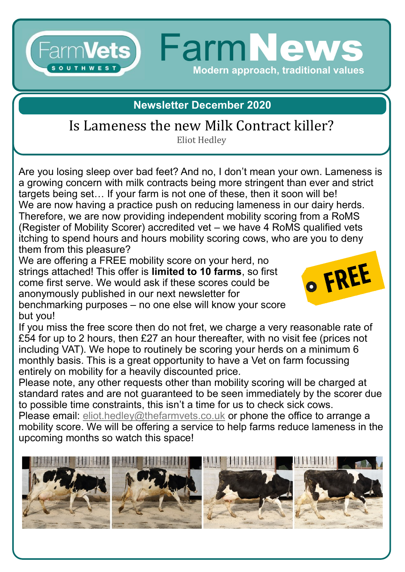#### **FarmNew** Farm**Vets) SOUTHWES Modern approach, traditional values**

#### **Newsletter December 2020**

# Is Lameness the new Milk Contract killer?

Eliot Hedley

Are you losing sleep over bad feet? And no, I don't mean your own. Lameness is a growing concern with milk contracts being more stringent than ever and strict targets being set… If your farm is not one of these, then it soon will be! We are now having a practice push on reducing lameness in our dairy herds. Therefore, we are now providing independent mobility scoring from a RoMS (Register of Mobility Scorer) accredited vet – we have 4 RoMS qualified vets itching to spend hours and hours mobility scoring cows, who are you to deny them from this pleasure?

We are offering a FREE mobility score on your herd, no strings attached! This offer is **limited to 10 farms**, so first come first serve. We would ask if these scores could be anonymously published in our next newsletter for



benchmarking purposes – no one else will know your score but you!

If you miss the free score then do not fret, we charge a very reasonable rate of £54 for up to 2 hours, then £27 an hour thereafter, with no visit fee (prices not including VAT). We hope to routinely be scoring your herds on a minimum 6 monthly basis. This is a great opportunity to have a Vet on farm focussing entirely on mobility for a heavily discounted price.

Please note, any other requests other than mobility scoring will be charged at standard rates and are not guaranteed to be seen immediately by the scorer due to possible time constraints, this isn't a time for us to check sick cows.

Please email: [eliot.hedley@thefarmvets.co.uk](mailto:eliot.hedley@thefarmvets.co.uk) or phone the office to arrange a mobility score. We will be offering a service to help farms reduce lameness in the upcoming months so watch this space!